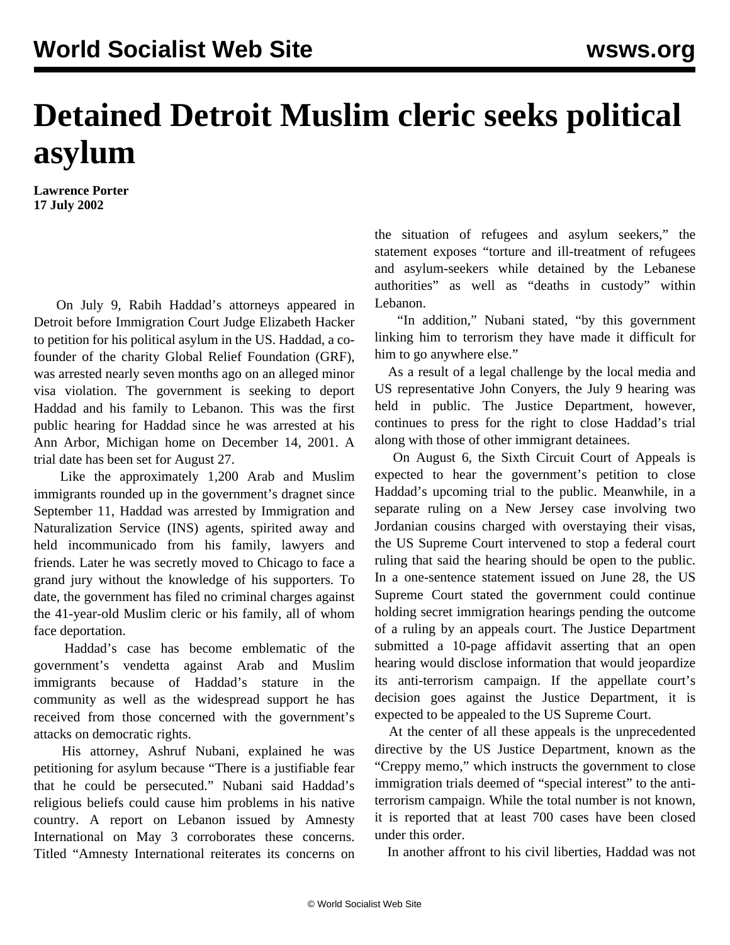## **Detained Detroit Muslim cleric seeks political asylum**

**Lawrence Porter 17 July 2002**

On July 9, Rabih Haddad's attorneys appeared in Detroit before Immigration Court Judge Elizabeth Hacker to petition for his political asylum in the US. Haddad, a cofounder of the charity Global Relief Foundation (GRF), was arrested nearly seven months ago on an alleged minor visa violation. The government is seeking to deport Haddad and his family to Lebanon. This was the first public hearing for Haddad since he was arrested at his Ann Arbor, Michigan home on December 14, 2001. A trial date has been set for August 27.

 held incommunicado from his family, lawyers and Like the approximately 1,200 Arab and Muslim immigrants rounded up in the government's dragnet since September 11, Haddad was arrested by Immigration and Naturalization Service (INS) agents, spirited away and friends. Later he was secretly moved to Chicago to face a grand jury without the knowledge of his supporters. To date, the government has filed no criminal charges against the 41-year-old Muslim cleric or his family, all of whom face deportation.

 Haddad's case has become emblematic of the government's vendetta against Arab and Muslim immigrants because of Haddad's stature in the community as well as the widespread support he has received from those concerned with the government's attacks on democratic rights.

 His attorney, Ashruf Nubani, explained he was petitioning for asylum because "There is a justifiable fear that he could be persecuted." Nubani said Haddad's religious beliefs could cause him problems in his native country. A report on Lebanon issued by Amnesty International on May 3 corroborates these concerns. Titled ["Amnesty International reiterates its concerns on](http://web.amnesty.org/802568F7005C4453/0/80256AB9000584F680256BAE00488B99?Open&Highlight=2,Lebanon) [the situation of refugees and asylum seekers,](http://web.amnesty.org/802568F7005C4453/0/80256AB9000584F680256BAE00488B99?Open&Highlight=2,Lebanon)" the statement exposes "torture and ill-treatment of refugees and asylum-seekers while detained by the Lebanese authorities" as well as "deaths in custody" within Lebanon.

 "In addition," Nubani stated, "by this government linking him to terrorism they have made it difficult for him to go anywhere else."

 As a result of a legal challenge by the local media and US representative John Conyers, the July 9 hearing was held in public. The Justice Department, however, continues to press for the right to close Haddad's trial along with those of other immigrant detainees.

 On August 6, the Sixth Circuit Court of Appeals is expected to hear the government's petition to close Haddad's upcoming trial to the public. Meanwhile, in a separate ruling on a New Jersey case involving two Jordanian cousins charged with overstaying their visas, the US Supreme Court intervened to stop a federal court ruling that said the hearing should be open to the public. In a one-sentence statement issued on June 28, the US Supreme Court stated the government could continue holding secret immigration hearings pending the outcome of a ruling by an appeals court. The Justice Department submitted a 10-page affidavit asserting that an open hearing would disclose information that would jeopardize its anti-terrorism campaign. If the appellate court's decision goes against the Justice Department, it is expected to be appealed to the US Supreme Court.

 At the center of all these appeals is the unprecedented directive by the US Justice Department, known as the "Creppy memo," which instructs the government to close immigration trials deemed of "special interest" to the antiterrorism campaign. While the total number is not known, it is reported that at least 700 cases have been closed under this order.

In another affront to his civil liberties, Haddad was not